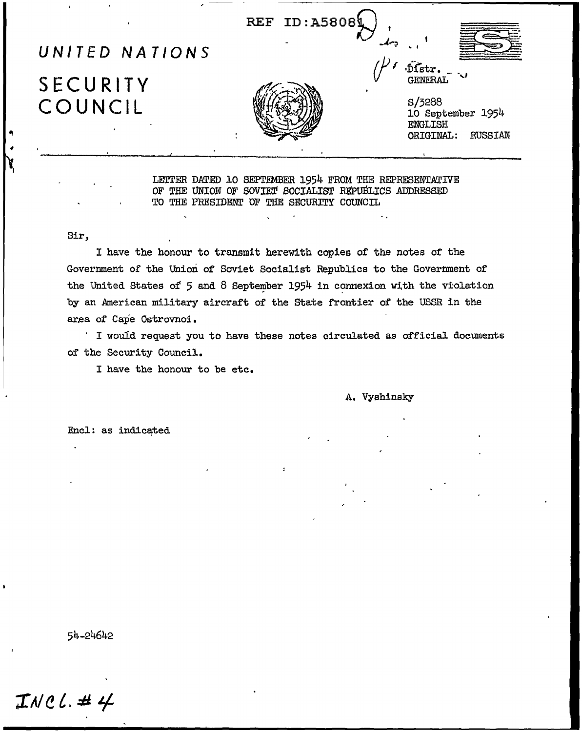REF ID: A58084

## UNITED NATIONS

# SECURITY COUNCIL

**S/3288** 10 September 1954 **ENGLISH** ORIGINAL: **RUSSIAN** 

Distr. **GENERAL** 

LETTER DATED 10 SEPTEMBER 1954 FROM THE REPRESENTATIVE OF THE UNION OF SOVIET SOCIALIST REPUBLICS ADDRESSED TO THE PRESIDENT OF THE SECURITY COUNCIL

#### Sir.

I have the honour to transmit herewith copies of the notes of the Government of the Union of Soviet Socialist Republics to the Government of the United States of 5 and 8 September 1954 in connexion with the violation by an American military aircraft of the State frontier of the USSR in the area of Cape Ostrovnoi.

' I would request you to have these notes circulated as official documents of the Security Council.

I have the honour to be etc.

A. Vyshinsky

Encl: as indicated

54-24642

 $INCL. #4$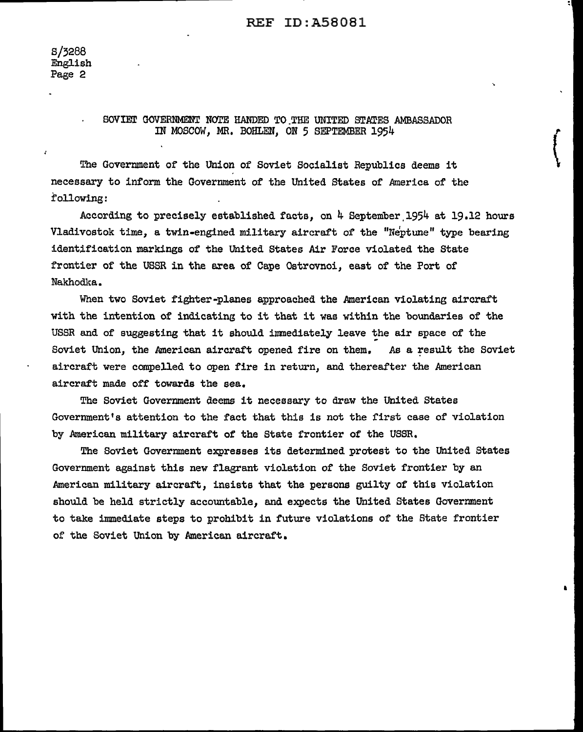$\begin{pmatrix} 1 \\ 1 \end{pmatrix}$ 

•

#### SOVIET GOVERNMENT NOTE HANDED TO THE UNITED STATES AMBASSADOR IN MOSCOW, MR, BOHLEN, ON 5 SEPTEMBER 1954

The Government of the Union of Soviet Socialist Republics deems it necessary to inform the Government of the United States of America of the :following:

According to precisely established facts, on 4 September.1954 at 19.12 hours Vladivostok time, a twin-engined military aircraft of the "Neptune" type bearing identification markings of the United States Air Force violated the State frontier of the USSR in the area of Cape Ostrovnoi, east of the Port of Nakhodka.

When two Soviet fighter-planes approached the American violating aircraft with the intention of indicating to it that it was within the boundaries of the USSR and of suggesting that it should immediately leave the air space of the Soviet Union, the American aircraft opened fire on them. As a result the Soviet aircraft were compelled to open fire in return, and thereafter the American aircraft made off towards the sea.

The Soviet Government deems it necessary to draw the United States Government's attention to the fact that this is not the first case of violation by American military aircraft of the State frontier of the USSR.

The Soviet Government expresses its determined protest to the United States Government against this new flagrant violation of the Soviet frontier by an American military aircraft, insists that the persons guilty of this violation should be held strictly accountable, and expects the United States Government to take immediate steps to prohibit in future violations of the State frontier of the Soviet Union by American aircraft.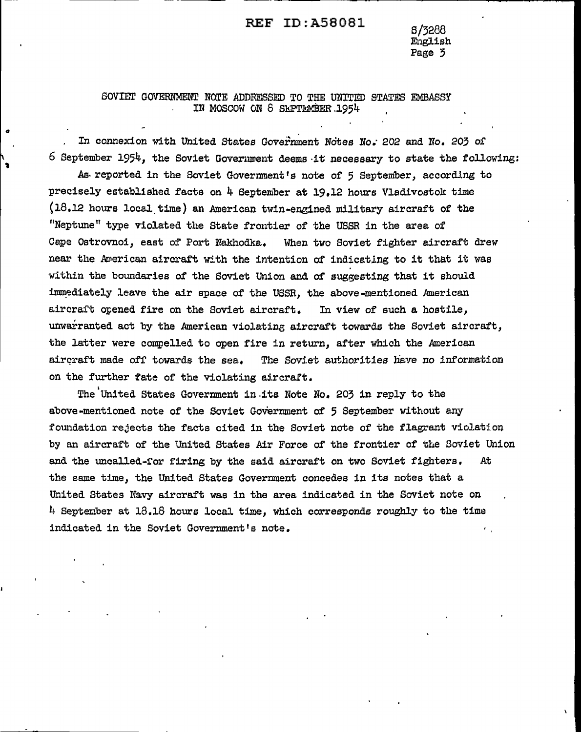## REF ID:A58081 S/3288

English Page 3

#### SOVIET GOVERNMENT NOTE ADDRESSED TO THE UNITED STATES EMBASSY IN MOSCOW ON 8 SEPTEMBER 1954

'

In connexion with United States Government Notes No. 202 and No. 203 of  $6$  September 1954, the Soviet Government deems it necessary to state the following: As reported in the Soviet Government's note of 5 September, according to precisely established facts on  $4$  September at 19.12 hours Vladivostok time  $(18.12$  hours local time) an American twin-engined military aircraft of the "Neptune" type violated the State frontier of the USSR in the area of Cape Ostrovnoi, east of Port Nakhodka. When two Soviet fighter aircraft drew near the American aircraft with the intention of indicating to it that it was within the boundaries of the Soviet Union and of suggesting that it should immediately leave the air space of the USSR, the above-mentioned American aircraft opened fire on the Soviet aircraft. In view of such a hostile, unwarranted act by the American violating aircraft towards the Soviet aircraft, the latter were compelled to open fire in return, after which the American aircraft made off towards the sea. The Soviet authorities have no information on the further fate of the violating aircraft.

The United States Government in its Note No. 203 in reply to the above-mentioned note of the Soviet Government of 5 September without any foundation rejects the facts cited in the Soviet note of the flagrant violation by an aircraft of the United States Air Force of the frontier of the Soviet Union and the uncalled-for firing by the said aircraft on two Soviet fighters. At the same time, the United States Government concedes in its notes that a. United States Navy aircraft was in the area indicated in the Soviet note on  $4$  September at  $13.18$  hours local time, which corresponds roughly to the time indicated in the Soviet Government's note.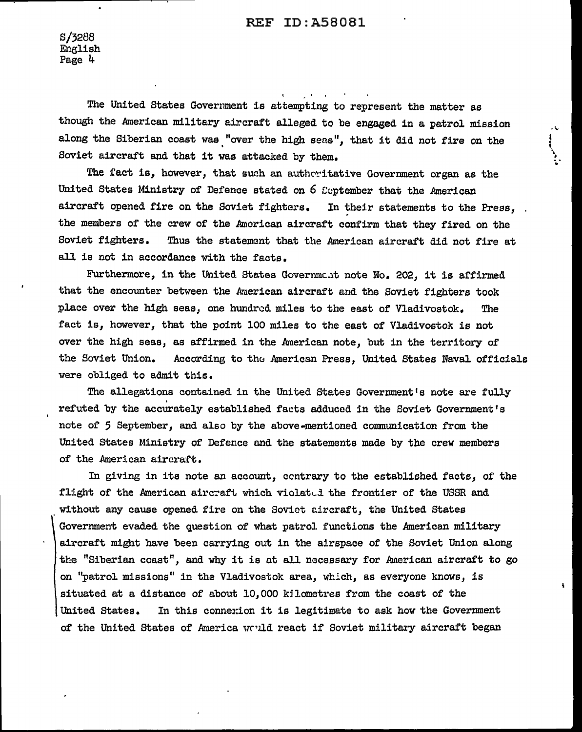S/3288 Enslish Page 4

The United States Government is attempting to represent the matter as though the American military aircraft alleged to be engaged in a patrol mission along the Siberian coast was "over the high sens", that it did not fire on the Soviet aircraft and that it was attacked by them.

..... t ' \ -' .<br>เ

ī.

The fact is, however, that such an authoritative Government organ as the United States Ministry of Defence stated on  $6$  Coptember that the American aircraft opened fire on the Soviet fighters. In their statements to the Press, the members of the crew of the American aircraft confirm that they fired on the Soviet fighters. Thus the statement that the American aircraft did not fire at all is not in accordance with the facts.

Furthermore, in the United States Government note No. 202, it is affirmed that the encounter between the kaerican aircraft and the Soviet fighters took place over the high seas, one hundred miles to the east of Vladivostok. The fact is, however, that the point 100 miles to the east of Vladivostok is not over the high seas, as affirmed in the American note, but in the territory of the Soviet Union. According to the American Press, United States Naval officials were obliged to admit this.

The allegations contained in the United States Government's note are fully refuted by the accurately established facts adduced in the Soviet Government's note of 5 September, and also by the above-mentioned communication from the United States Ministry of Defence and the statements made by the crew members of the American aircraft.

In giving in its note an account, ccntrary to the established facts, of the flight of the American aircraft which violated the frontier of the USSR and without any cause opened fire on the Soviet Eircraft, the United States Government evaded the question of what patrol functions the American military aircraft might have been carryins out in the airspace of the Soviet Union along the "Siberian coast", and why it is at all necessary for American aircraft to go on "patrol missions" in the Vladivostok area, whlch, as everyone knows, is situated at a distance of about  $10,000$  kilometres from the coast of the United States. In this connexion it is legitimate to ask how the Government of the United States of America would react if Soviet military aircraft began